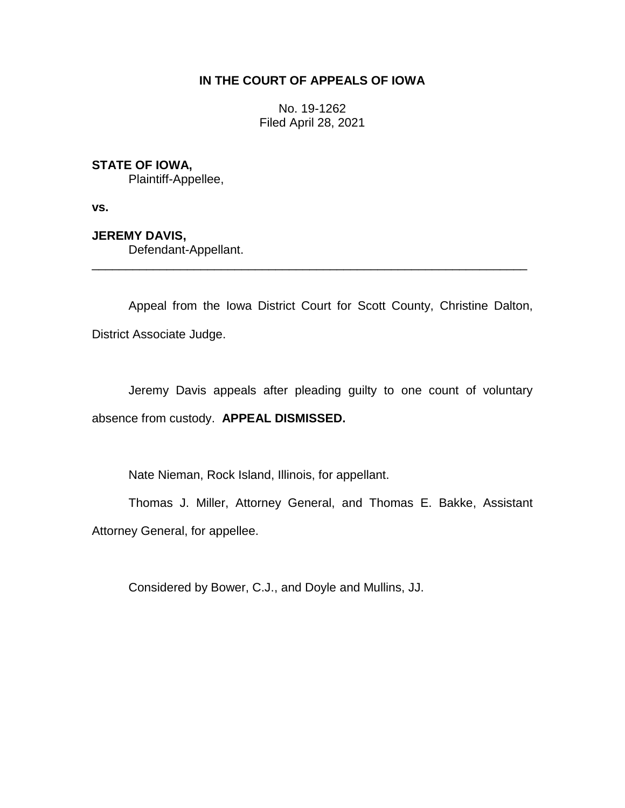## **IN THE COURT OF APPEALS OF IOWA**

No. 19-1262 Filed April 28, 2021

## **STATE OF IOWA,**

Plaintiff-Appellee,

**vs.**

## **JEREMY DAVIS,**

Defendant-Appellant.

Appeal from the Iowa District Court for Scott County, Christine Dalton, District Associate Judge.

\_\_\_\_\_\_\_\_\_\_\_\_\_\_\_\_\_\_\_\_\_\_\_\_\_\_\_\_\_\_\_\_\_\_\_\_\_\_\_\_\_\_\_\_\_\_\_\_\_\_\_\_\_\_\_\_\_\_\_\_\_\_\_\_

Jeremy Davis appeals after pleading guilty to one count of voluntary absence from custody. **APPEAL DISMISSED.**

Nate Nieman, Rock Island, Illinois, for appellant.

Thomas J. Miller, Attorney General, and Thomas E. Bakke, Assistant Attorney General, for appellee.

Considered by Bower, C.J., and Doyle and Mullins, JJ.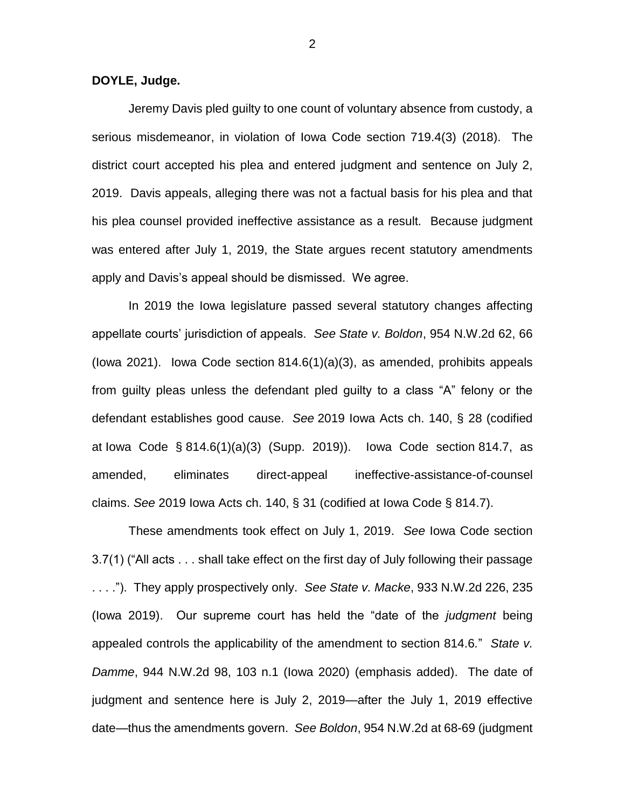**DOYLE, Judge.**

Jeremy Davis pled guilty to one count of voluntary absence from custody, a serious misdemeanor, in violation of Iowa Code section 719.4(3) (2018). The district court accepted his plea and entered judgment and sentence on July 2, 2019. Davis appeals, alleging there was not a factual basis for his plea and that his plea counsel provided ineffective assistance as a result. Because judgment was entered after July 1, 2019, the State argues recent statutory amendments apply and Davis's appeal should be dismissed. We agree.

In 2019 the Iowa legislature passed several statutory changes affecting appellate courts' jurisdiction of appeals. *See State v. Boldon*, 954 N.W.2d 62, 66 (Iowa 2021). Iowa Code section 814.6(1)(a)(3), as amended, prohibits appeals from guilty pleas unless the defendant pled guilty to a class "A" felony or the defendant establishes good cause. *See* 2019 Iowa Acts ch. 140, § 28 (codified at Iowa Code § 814.6(1)(a)(3) (Supp. 2019)). Iowa Code section 814.7, as amended, eliminates direct-appeal ineffective-assistance-of-counsel claims. *See* 2019 Iowa Acts ch. 140, § 31 (codified at Iowa Code § 814.7).

These amendments took effect on July 1, 2019. *See* Iowa Code section 3.7(1) ("All acts . . . shall take effect on the first day of July following their passage . . . ."). They apply prospectively only. *See State v. Macke*, 933 N.W.2d 226, 235 (Iowa 2019). Our supreme court has held the "date of the *judgment* being appealed controls the applicability of the amendment to section 814.6*.*" *State v. Damme*, 944 N.W.2d 98, 103 n.1 (Iowa 2020) (emphasis added). The date of judgment and sentence here is July 2, 2019—after the July 1, 2019 effective date—thus the amendments govern. *See Boldon*, 954 N.W.2d at 68-69 (judgment

2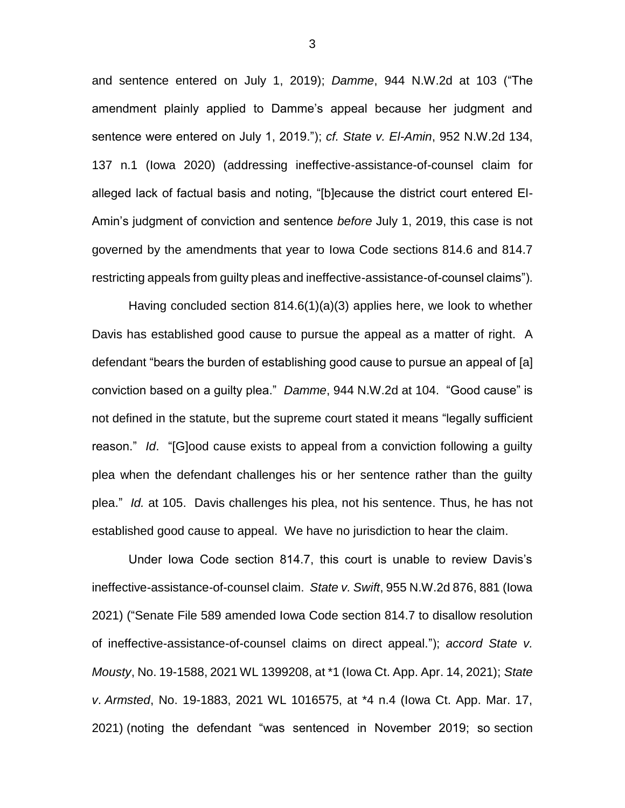and sentence entered on July 1, 2019); *Damme*, 944 N.W.2d at 103 ("The amendment plainly applied to Damme's appeal because her judgment and sentence were entered on July 1, 2019."); *cf. State v. El-Amin*, 952 N.W.2d 134, 137 n.1 (Iowa 2020) (addressing ineffective-assistance-of-counsel claim for alleged lack of factual basis and noting, "[b]ecause the district court entered El-Amin's judgment of conviction and sentence *before* July 1, 2019, this case is not governed by the amendments that year to Iowa Code sections 814.6 and 814.7 restricting appeals from guilty pleas and ineffective-assistance-of-counsel claims").

Having concluded section 814.6(1)(a)(3) applies here, we look to whether Davis has established good cause to pursue the appeal as a matter of right. A defendant "bears the burden of establishing good cause to pursue an appeal of [a] conviction based on a guilty plea." *Damme*, 944 N.W.2d at 104. "Good cause" is not defined in the statute, but the supreme court stated it means "legally sufficient reason." *Id*. "[G]ood cause exists to appeal from a conviction following a guilty plea when the defendant challenges his or her sentence rather than the guilty plea." *Id.* at 105. Davis challenges his plea, not his sentence. Thus, he has not established good cause to appeal. We have no jurisdiction to hear the claim.

Under Iowa Code section 814.7, this court is unable to review Davis's ineffective-assistance-of-counsel claim. *State v. Swift*, 955 N.W.2d 876, 881 (Iowa 2021) ("Senate File 589 amended Iowa Code section 814.7 to disallow resolution of ineffective-assistance-of-counsel claims on direct appeal."); *accord State v. Mousty*, No. 19-1588, 2021 WL 1399208, at \*1 (Iowa Ct. App. Apr. 14, 2021); *State v*. *Armsted*, No. 19-1883, 2021 WL 1016575, at \*4 n.4 (Iowa Ct. App. Mar. 17, 2021) (noting the defendant "was sentenced in November 2019; so section

3